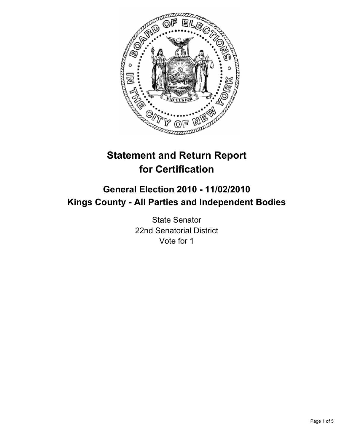

# **Statement and Return Report for Certification**

## **General Election 2010 - 11/02/2010 Kings County - All Parties and Independent Bodies**

State Senator 22nd Senatorial District Vote for 1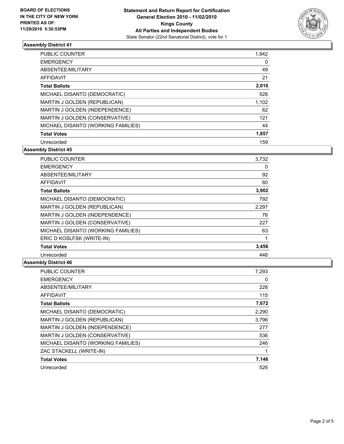

## **Assembly District 41**

| <b>PUBLIC COUNTER</b>                 | 1,942 |
|---------------------------------------|-------|
| <b>EMERGENCY</b>                      | 0     |
| ABSENTEE/MILITARY                     | 49    |
| AFFIDAVIT                             | 21    |
| <b>Total Ballots</b>                  | 2,016 |
| MICHAEL DISANTO (DEMOCRATIC)          | 528   |
| <b>MARTIN J GOLDEN (REPUBLICAN)</b>   | 1,102 |
| <b>MARTIN J GOLDEN (INDEPENDENCE)</b> | 62    |
| <b>MARTIN J GOLDEN (CONSERVATIVE)</b> | 121   |
| MICHAEL DISANTO (WORKING FAMILIES)    | 44    |
| <b>Total Votes</b>                    | 1,857 |
| Unrecorded                            | 159   |

**Assembly District 45**

| <b>PUBLIC COUNTER</b>              | 3,732 |
|------------------------------------|-------|
| <b>EMERGENCY</b>                   | 0     |
| ABSENTEE/MILITARY                  | 92    |
| <b>AFFIDAVIT</b>                   | 60    |
| <b>Total Ballots</b>               | 3,902 |
| MICHAEL DISANTO (DEMOCRATIC)       | 792   |
| MARTIN J GOLDEN (REPUBLICAN)       | 2,297 |
| MARTIN J GOLDEN (INDEPENDENCE)     | 76    |
| MARTIN J GOLDEN (CONSERVATIVE)     | 227   |
| MICHAEL DISANTO (WORKING FAMILIES) | 63    |
| ERIC D KOSLFSK (WRITE-IN)          | 1     |
| <b>Total Votes</b>                 | 3,456 |
| Unrecorded                         | 446   |

#### **Assembly District 46**

| <b>PUBLIC COUNTER</b>              | 7,293 |
|------------------------------------|-------|
| <b>EMERGENCY</b>                   | 0     |
| ABSENTEE/MILITARY                  | 228   |
| <b>AFFIDAVIT</b>                   | 115   |
| <b>Total Ballots</b>               | 7,672 |
| MICHAEL DISANTO (DEMOCRATIC)       | 2,290 |
| MARTIN J GOLDEN (REPUBLICAN)       | 3,796 |
| MARTIN J GOLDEN (INDEPENDENCE)     | 277   |
| MARTIN J GOLDEN (CONSERVATIVE)     | 536   |
| MICHAEL DISANTO (WORKING FAMILIES) | 246   |
| ZAC STACKELL (WRITE-IN)            |       |
| <b>Total Votes</b>                 | 7,146 |
| Unrecorded                         | 526   |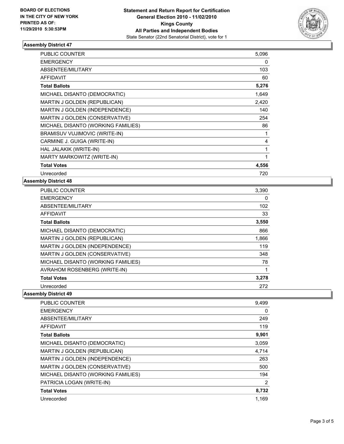

#### **Assembly District 47**

| <b>PUBLIC COUNTER</b>               | 5,096 |
|-------------------------------------|-------|
| <b>EMERGENCY</b>                    | 0     |
| ABSENTEE/MILITARY                   | 103   |
| <b>AFFIDAVIT</b>                    | 60    |
| <b>Total Ballots</b>                | 5,276 |
| MICHAEL DISANTO (DEMOCRATIC)        | 1,649 |
| <b>MARTIN J GOLDEN (REPUBLICAN)</b> | 2,420 |
| MARTIN J GOLDEN (INDEPENDENCE)      | 140   |
| MARTIN J GOLDEN (CONSERVATIVE)      | 254   |
| MICHAEL DISANTO (WORKING FAMILIES)  | 86    |
| BRAMISUV VUJIMOVIC (WRITE-IN)       | 1     |
| CARMINE J. GUIGA (WRITE-IN)         | 4     |
| HAL JALAKIK (WRITE-IN)              | 1     |
| MARTY MARKOWITZ (WRITE-IN)          | 1     |
| <b>Total Votes</b>                  | 4,556 |
| Unrecorded                          | 720   |

#### **Assembly District 48**

| <b>PUBLIC COUNTER</b>               | 3,390 |
|-------------------------------------|-------|
| <b>EMERGENCY</b>                    | 0     |
| ABSENTEE/MILITARY                   | 102   |
| <b>AFFIDAVIT</b>                    | 33    |
| <b>Total Ballots</b>                | 3,550 |
| MICHAEL DISANTO (DEMOCRATIC)        | 866   |
| <b>MARTIN J GOLDEN (REPUBLICAN)</b> | 1,866 |
| MARTIN J GOLDEN (INDEPENDENCE)      | 119   |
| MARTIN J GOLDEN (CONSERVATIVE)      | 348   |
| MICHAEL DISANTO (WORKING FAMILIES)  | 78    |
| AVRAHOM ROSENBERG (WRITE-IN)        |       |
| <b>Total Votes</b>                  | 3,278 |
| Unrecorded                          | 272   |

### **Assembly District 49**

| PUBLIC COUNTER                     | 9,499 |
|------------------------------------|-------|
| <b>EMERGENCY</b>                   | 0     |
| ABSENTEE/MILITARY                  | 249   |
| AFFIDAVIT                          | 119   |
| <b>Total Ballots</b>               | 9,901 |
| MICHAEL DISANTO (DEMOCRATIC)       | 3,059 |
| MARTIN J GOLDEN (REPUBLICAN)       | 4.714 |
| MARTIN J GOLDEN (INDEPENDENCE)     | 263   |
| MARTIN J GOLDEN (CONSERVATIVE)     | 500   |
| MICHAEL DISANTO (WORKING FAMILIES) | 194   |
| PATRICIA LOGAN (WRITE-IN)          | 2     |
| <b>Total Votes</b>                 | 8,732 |
| Unrecorded                         | 1.169 |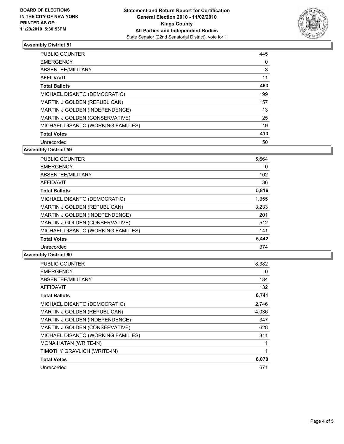

#### **Assembly District 51**

| PUBLIC COUNTER                        | 445 |
|---------------------------------------|-----|
| <b>EMERGENCY</b>                      | 0   |
| ABSENTEE/MILITARY                     | 3   |
| <b>AFFIDAVIT</b>                      | 11  |
| <b>Total Ballots</b>                  | 463 |
| MICHAEL DISANTO (DEMOCRATIC)          | 199 |
| <b>MARTIN J GOLDEN (REPUBLICAN)</b>   | 157 |
| <b>MARTIN J GOLDEN (INDEPENDENCE)</b> | 13  |
| <b>MARTIN J GOLDEN (CONSERVATIVE)</b> | 25  |
| MICHAEL DISANTO (WORKING FAMILIES)    | 19  |
| <b>Total Votes</b>                    | 413 |
| Unrecorded                            | 50  |

**Assembly District 59**

| <b>PUBLIC COUNTER</b>              | 5,664 |
|------------------------------------|-------|
| <b>EMERGENCY</b>                   | 0     |
| ABSENTEE/MILITARY                  | 102   |
| <b>AFFIDAVIT</b>                   | 36    |
| <b>Total Ballots</b>               | 5,816 |
| MICHAEL DISANTO (DEMOCRATIC)       | 1,355 |
| MARTIN J GOLDEN (REPUBLICAN)       | 3,233 |
| MARTIN J GOLDEN (INDEPENDENCE)     | 201   |
| MARTIN J GOLDEN (CONSERVATIVE)     | 512   |
| MICHAEL DISANTO (WORKING FAMILIES) | 141   |
| <b>Total Votes</b>                 | 5,442 |
| Unrecorded                         | 374   |

#### **Assembly District 60**

| PUBLIC COUNTER                     | 8,382 |
|------------------------------------|-------|
| <b>EMERGENCY</b>                   | 0     |
| ABSENTEE/MILITARY                  | 184   |
| <b>AFFIDAVIT</b>                   | 132   |
| <b>Total Ballots</b>               | 8,741 |
| MICHAEL DISANTO (DEMOCRATIC)       | 2,746 |
| MARTIN J GOLDEN (REPUBLICAN)       | 4,036 |
| MARTIN J GOLDEN (INDEPENDENCE)     | 347   |
| MARTIN J GOLDEN (CONSERVATIVE)     | 628   |
| MICHAEL DISANTO (WORKING FAMILIES) | 311   |
| <b>MONA HATAN (WRITE-IN)</b>       |       |
| TIMOTHY GRAVLICH (WRITE-IN)        |       |
| <b>Total Votes</b>                 | 8,070 |
| Unrecorded                         | 671   |